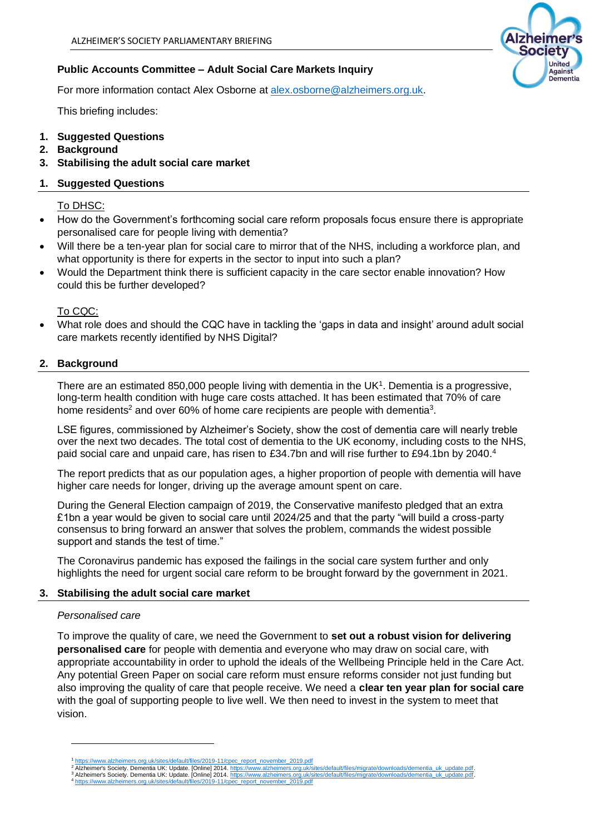# **Public Accounts Committee – Adult Social Care Markets Inquiry**

For more information contact Alex Osborne at [alex.osborne@alzheimers.org.uk.](mailto:alex.osborne@alzheimers.org.uk)

This briefing includes:

- **1. Suggested Questions**
- **2. Background**
- **3. Stabilising the adult social care market**

# **1. Suggested Questions**

To DHSC:

- How do the Government's forthcoming social care reform proposals focus ensure there is appropriate personalised care for people living with dementia?
- Will there be a ten-year plan for social care to mirror that of the NHS, including a workforce plan, and what opportunity is there for experts in the sector to input into such a plan?
- Would the Department think there is sufficient capacity in the care sector enable innovation? How could this be further developed?

## To CQC:

• What role does and should the CQC have in tackling the 'gaps in data and insight' around adult social care markets recently identified by NHS Digital?

## **2. Background**

There are an estimated 850,000 people living with dementia in the UK<sup>1</sup>. Dementia is a progressive, long-term health condition with huge care costs attached. It has been estimated that 70% of care home residents<sup>2</sup> and over 60% of home care recipients are people with dementia<sup>3</sup>.

LSE figures, commissioned by Alzheimer's Society, show the cost of dementia care will nearly treble over the next two decades. The total cost of dementia to the UK economy, including costs to the NHS, paid social care and unpaid care, has risen to £34.7bn and will rise further to £94.1bn by 2040.4

The report predicts that as our population ages, a higher proportion of people with dementia will have higher care needs for longer, driving up the average amount spent on care.

During the General Election campaign of 2019, the Conservative manifesto pledged that an extra £1bn a year would be given to social care until 2024/25 and that the party "will build a cross-party consensus to bring forward an answer that solves the problem, commands the widest possible support and stands the test of time."

The Coronavirus pandemic has exposed the failings in the social care system further and only highlights the need for urgent social care reform to be brought forward by the government in 2021.

#### **3. Stabilising the adult social care market**

#### *Personalised care*

To improve the quality of care, we need the Government to **set out a robust vision for delivering personalised care** for people with dementia and everyone who may draw on social care, with appropriate accountability in order to uphold the ideals of the Wellbeing Principle held in the Care Act. Any potential Green Paper on social care reform must ensure reforms consider not just funding but also improving the quality of care that people receive. We need a **clear ten year plan for social care** with the goal of supporting people to live well. We then need to invest in the system to meet that vision.



<sup>&</sup>lt;sup>1</sup> [https://www.alzheimers.org.uk/sites/default/files/2019-11/cpec\\_report\\_november\\_2019.pdf](https://www.alzheimers.org.uk/sites/default/files/2019-11/cpec_report_november_2019.pdf)<br><sup>2</sup> Alzheimer's Society. Dementia UK: Update. [Online] 2014. https://www.alzheimers.org.uk/sites/default/files/migrate/downloads/d <sup>3</sup> Alzheimer's Society. Dementia UK: Update. [Online] 2014[. https://www.alzheimers.org.uk/sites/default/files/migrate/downloads/dementia\\_uk\\_update.pdf.](https://www.alzheimers.org.uk/sites/default/files/migrate/downloads/dementia_uk_update.pdf)<br><sup>4</sup> https://www.alzheimers.org.uk/sites/default/files/2019-11/cpec\_re